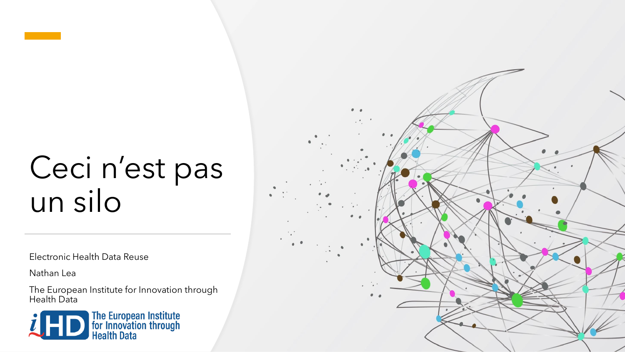## Ceci n'est pas un silo

Electronic Health Data Reuse

Nathan Lea

The European Institute for Innovation through Health Data



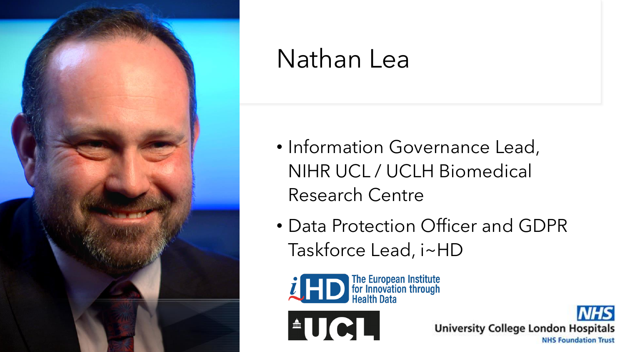

### Nathan Lea

- Information Governance Lead, NIHR UCL / UCLH Biomedical Research Centre
- Data Protection Officer and GDPR Taskforce Lead, i~HD



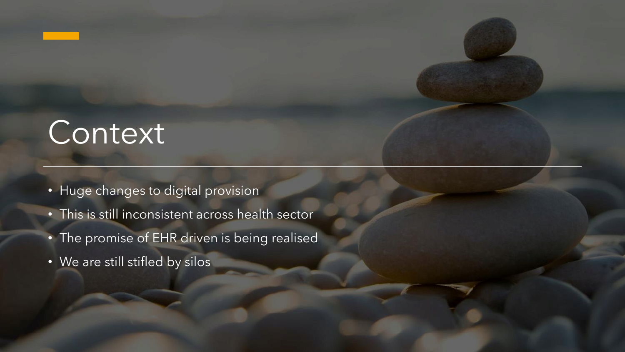### Context

- Huge changes to digital provision
- This is still inconsistent across health sector
- The promise of EHR driven is being realised
- We are still stifled by silos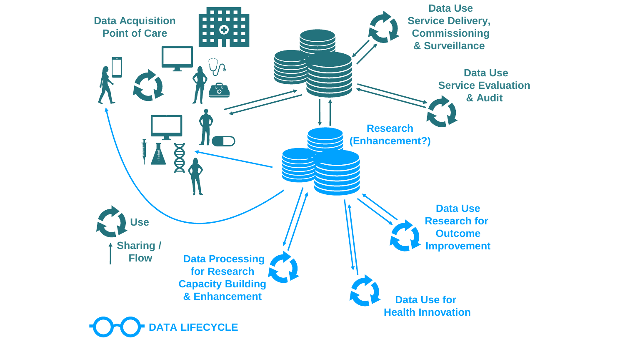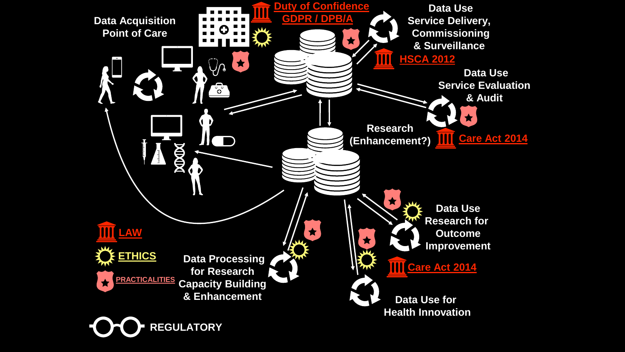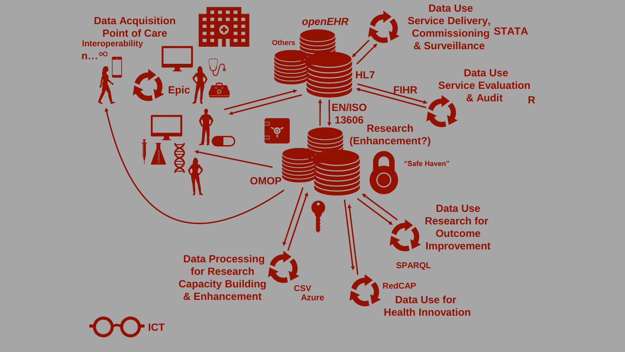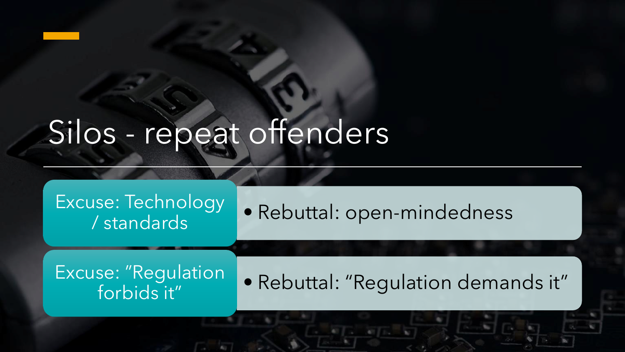## Silos - repeat offenders

### Excuse: Technology | Rebuttal: open-mindedness / standards Excuse: "Regulation | Rebuttal: "Regulation demands it" forbids it"